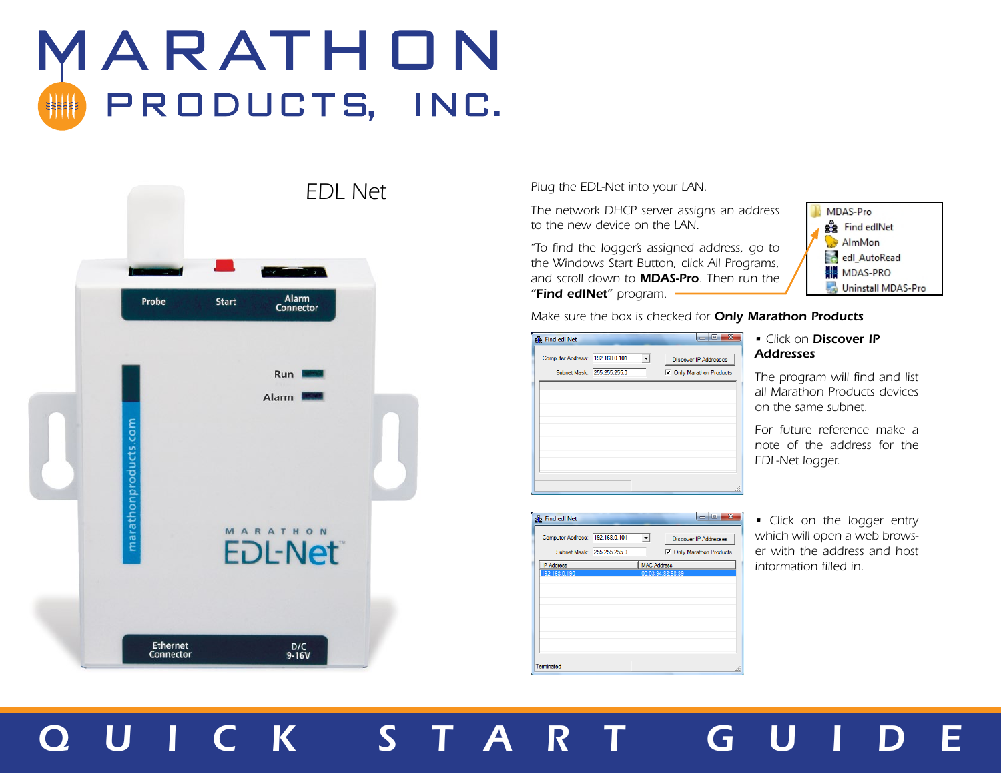# MARATHON PRODUCTS, INC.

|                       | <b>EDL Net</b>                                    |  |
|-----------------------|---------------------------------------------------|--|
| Probe                 | a a shekara<br>Alarm<br><b>Start</b><br>Connector |  |
|                       | <b>Run</b><br>Alarm                               |  |
| marathonproducts.com  | MARATHON<br><b>EDL-Net®</b>                       |  |
| Ethernet<br>Connector | D/C<br>9-16V                                      |  |

*Plug the EDL-Net into your LAN.*

*The network DHCP server assigns an address to the new device on the LAN.*

*"To find the logger's assigned address, go to the Windows Start Button, click All Programs, and scroll down to MDAS-Pro. Then run the "Find edlNet" program.*



*Make sure the box is checked for Only Marathon Products*

| <b>gg</b> Find edl Net                                        | e<br>$\Box$                                                     |
|---------------------------------------------------------------|-----------------------------------------------------------------|
| Computer Address: 192.168.0.101<br>Subnet Mask: 255.255.255.0 | <b>Discover IP Addresses</b><br><b>▽</b> Only Marathon Products |
|                                                               |                                                                 |
|                                                               |                                                                 |
|                                                               |                                                                 |
|                                                               |                                                                 |

### *• Click on Discover IP Addresses*

*The program will find and list all Marathon Products devices on the same subnet.*

*For future reference make a note of the address for the EDL-Net logger.*

| <b>gg</b> Find edl Net                                        | x<br>▣<br>$-1$                                                           |
|---------------------------------------------------------------|--------------------------------------------------------------------------|
| Computer Address: 192.168.0.101<br>Subnet Mask: 255.255.255.0 | $\mathbf{v}$<br><b>Discover IP Addresses</b><br>□ Only Marathon Products |
| <b>IP Address</b>                                             | <b>MAC Address</b>                                                       |
| 192.168.0.190                                                 | 00:03:94:88:88:89                                                        |
|                                                               |                                                                          |
|                                                               |                                                                          |
|                                                               |                                                                          |
|                                                               |                                                                          |
|                                                               |                                                                          |
|                                                               |                                                                          |
|                                                               |                                                                          |
|                                                               |                                                                          |
| Terminated                                                    |                                                                          |

#### *• Click on the logger entry which will open a web browser with the address and host information filled in.*

## *QUICK START* G *U IDE*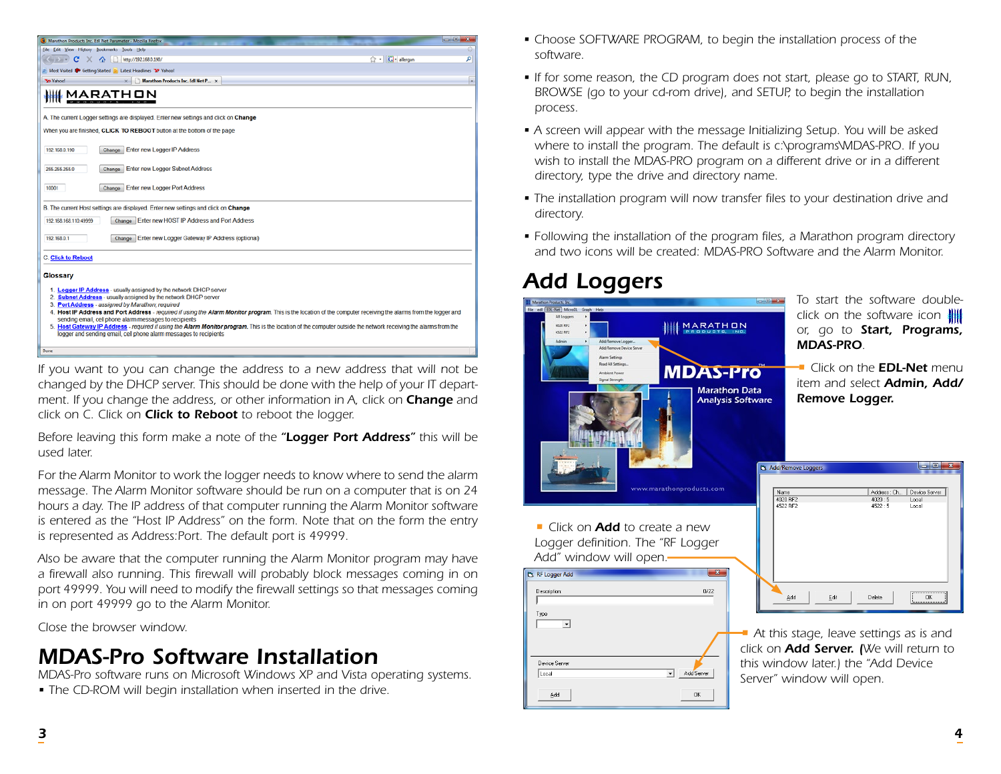

*If you want to you can change the address to a new address that will not be changed by the DHCP server. This should be done with the help of your IT department. If you change the address, or other information in A, click on Change and click on C. Click on Click to Reboot to reboot the logger.*

*Before leaving this form make a note of the "Logger Port Address" this will be used later.*

*For the Alarm Monitor to work the logger needs to know where to send the alarm message. The Alarm Monitor software should be run on a computer that is on 24 hours a day. The IP address of that computer running the Alarm Monitor software is entered as the "Host IP Address" on the form. Note that on the form the entry is represented as Address:Port. The default port is 49999.*

*Also be aware that the computer running the Alarm Monitor program may have a firewall also running. This firewall will probably block messages coming in on port 49999. You will need to modify the firewall settings so that messages coming in on port 49999 go to the Alarm Monitor.*

*Close the browser window.*

### *MDAS-Pro Software Installation*

*MDAS-Pro software runs on Microsoft Windows XP and Vista operating systems.*

*• The CD-ROM will begin installation when inserted in the drive.* 

- Choose SOFTWARE PROGRAM, to begin the installation process of the *software.*
- *If for some reason, the CD program does not start, please go to START, RUN, BROWSE (go to your cd-rom drive), and SETUP, to begin the installation process.*
- *A screen will appear with the message Initializing Setup. You will be asked where to install the program. The default is c:\programs\MDAS-PRO. If you*  wish to install the MDAS-PRO program on a different drive or in a different *directory, type the drive and directory name.*
- The installation program will now transfer files to your destination drive and *directory.*
- *Following the installation of the program files, a Marathon program directory and two icons will be created: MDAS-PRO Software and the Alarm Monitor.*

### *Add Loggers*



*To start the software doubleclick on the software icon or, go to Start, Programs, MDAS-PRO.*

*• Click on the EDL-Net menu item and select Admin, Add/ Remove Logger.*

| Name                 |      | Address : Ch     | Device Server                                |
|----------------------|------|------------------|----------------------------------------------|
| 4020 RF2<br>4522 RF2 |      | 4020:5<br>4522:5 | Local<br>Local                               |
|                      |      |                  |                                              |
|                      |      |                  |                                              |
| Add                  | Edit | Delete           | <br>ΠK<br>---------------------------------- |

*• At this stage, leave settings as is and click on Add Server. (We will return to this window later.) the "Add Device Server" window will open.*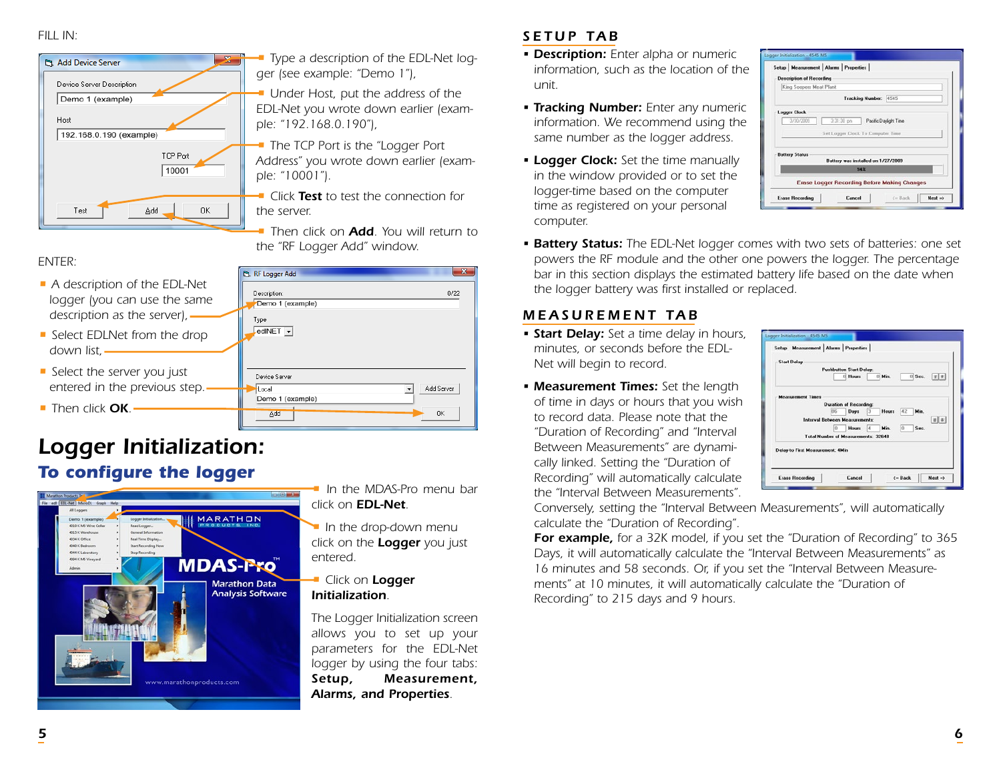#### *FILL IN:*



*• Type a description of the EDL-Net logger (see example: "Demo 1"),*

*• Under Host, put the address of the EDL-Net you wrote down earlier (example: "192.168.0.190"),*

*• The TCP Port is the "Logger Port Address" you wrote down earlier (example: "10001").*

*• Click Test to test the connection for the server.*

*• Then click on Add. You will return to the "RF Logger Add" window.*

 $0/22$ 

Add Server

 $n<sub>K</sub>$ 

 $\vert \cdot \vert$ 

**La RF Logger Add** Description:

Device Server

Demo 1 (example) Add

**Local** 

Type  $ledINET$   $\rightarrow$ 

Demo 1 (example)

#### *ENTER:*

- *A description of the EDL-Net logger (you can use the same description as the server),*
- *Select EDLNet from the drop down list,*
- *Select the server you just entered in the previous step.*
- *Then click OK.*

### *Logger Initialization: To configure the logger • In the MDAS-Pro menu bar*



- *click on EDL-Net.*
- *In the drop-down menu click on the Logger you just entered.*

#### *• Click on Logger Initialization.*

*The Logger Initialization screen allows you to set up your parameters for the EDL-Net logger by using the four tabs: Setup, Measurement, Alarms, and Properties.*

### *SETUP TAB*

- *Description: Enter alpha or numeric information, such as the location of the unit.*
- *Tracking Number: Enter any numeric information. We recommend using the same number as the logger address.*
- *Logger Clock: Set the time manually in the window provided or to set the logger-time based on the computer time as registered on your personal computer.*



*• Battery Status: The EDL-Net logger comes with two sets of batteries: one set powers the RF module and the other one powers the logger. The percentage*  bar in this section displays the estimated battery life based on the date when *the logger battery was first installed or replaced.*

### *MEASUREMENT TAB*

- *Start Delay: Set a time delay in hours, minutes, or seconds before the EDL-Net will begin to record.*
- *Measurement Times: Set the length of time in days or hours that you wish to record data. Please note that the "Duration of Recording" and "Interval Between Measurements" are dynamically linked. Setting the "Duration of Recording" will automatically calculate the "Interval Between Measurements".*



*Conversely, setting the "Interval Between Measurements", will automatically calculate the "Duration of Recording".*

*For example, for a 32K model, if you set the "Duration of Recording" to 365 Days, it will automatically calculate the "Interval Between Measurements" as 16 minutes and 58 seconds. Or, if you set the "Interval Between Measurements" at 10 minutes, it will automatically calculate the "Duration of Recording" to 215 days and 9 hours.*